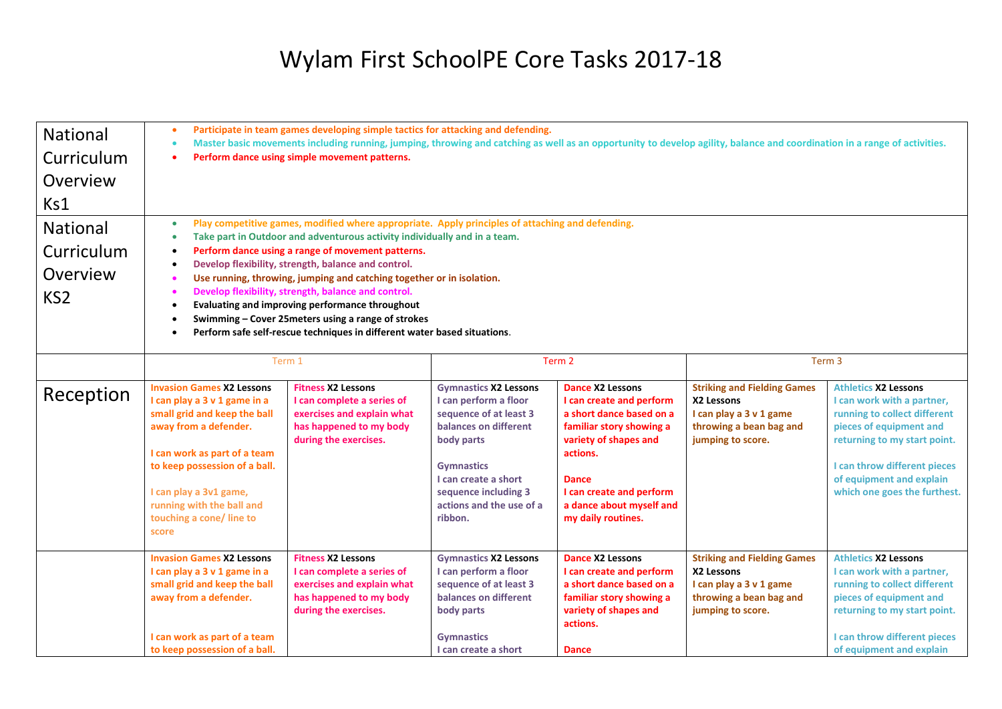## Wylam First SchoolPE Core Tasks 2017-18

| National<br>Curriculum<br>Overview<br>Ks1<br><b>National</b><br>Curriculum<br>Overview<br>KS <sub>2</sub> | Participate in team games developing simple tactics for attacking and defending.<br>$\bullet$<br>Master basic movements including running, jumping, throwing and catching as well as an opportunity to develop agility, balance and coordination in a range of activities.<br>$\bullet$<br>Perform dance using simple movement patterns.<br>Play competitive games, modified where appropriate. Apply principles of attaching and defending.<br>$\bullet$<br>Take part in Outdoor and adventurous activity individually and in a team.<br>$\bullet$<br>Perform dance using a range of movement patterns.<br>Develop flexibility, strength, balance and control.<br>٠<br>Use running, throwing, jumping and catching together or in isolation.<br>Develop flexibility, strength, balance and control.<br>$\bullet$<br>Evaluating and improving performance throughout<br>$\bullet$ |                                                                                                                                           |                                                                                                                                                                                                                                    |                                                                                                                                                                                                                                                |                                                                                                                             |                                                                                                                                                                                                                                                  |  |
|-----------------------------------------------------------------------------------------------------------|-----------------------------------------------------------------------------------------------------------------------------------------------------------------------------------------------------------------------------------------------------------------------------------------------------------------------------------------------------------------------------------------------------------------------------------------------------------------------------------------------------------------------------------------------------------------------------------------------------------------------------------------------------------------------------------------------------------------------------------------------------------------------------------------------------------------------------------------------------------------------------------|-------------------------------------------------------------------------------------------------------------------------------------------|------------------------------------------------------------------------------------------------------------------------------------------------------------------------------------------------------------------------------------|------------------------------------------------------------------------------------------------------------------------------------------------------------------------------------------------------------------------------------------------|-----------------------------------------------------------------------------------------------------------------------------|--------------------------------------------------------------------------------------------------------------------------------------------------------------------------------------------------------------------------------------------------|--|
|                                                                                                           | Swimming - Cover 25 meters using a range of strokes<br>$\bullet$                                                                                                                                                                                                                                                                                                                                                                                                                                                                                                                                                                                                                                                                                                                                                                                                                  |                                                                                                                                           |                                                                                                                                                                                                                                    |                                                                                                                                                                                                                                                |                                                                                                                             |                                                                                                                                                                                                                                                  |  |
|                                                                                                           | Perform safe self-rescue techniques in different water based situations.<br>$\bullet$                                                                                                                                                                                                                                                                                                                                                                                                                                                                                                                                                                                                                                                                                                                                                                                             |                                                                                                                                           |                                                                                                                                                                                                                                    |                                                                                                                                                                                                                                                |                                                                                                                             |                                                                                                                                                                                                                                                  |  |
|                                                                                                           | Term 1                                                                                                                                                                                                                                                                                                                                                                                                                                                                                                                                                                                                                                                                                                                                                                                                                                                                            |                                                                                                                                           | Term 2                                                                                                                                                                                                                             |                                                                                                                                                                                                                                                | Term 3                                                                                                                      |                                                                                                                                                                                                                                                  |  |
| Reception                                                                                                 | <b>Invasion Games X2 Lessons</b><br>I can play a 3 v 1 game in a<br>small grid and keep the ball<br>away from a defender.<br>I can work as part of a team<br>to keep possession of a ball.<br>I can play a 3v1 game,<br>running with the ball and<br>touching a cone/line to<br>score                                                                                                                                                                                                                                                                                                                                                                                                                                                                                                                                                                                             | <b>Fitness X2 Lessons</b><br>I can complete a series of<br>exercises and explain what<br>has happened to my body<br>during the exercises. | <b>Gymnastics X2 Lessons</b><br>I can perform a floor<br>sequence of at least 3<br>balances on different<br>body parts<br><b>Gymnastics</b><br>I can create a short<br>sequence including 3<br>actions and the use of a<br>ribbon. | <b>Dance X2 Lessons</b><br>I can create and perform<br>a short dance based on a<br>familiar story showing a<br>variety of shapes and<br>actions.<br><b>Dance</b><br>I can create and perform<br>a dance about myself and<br>my daily routines. | <b>Striking and Fielding Games</b><br>X2 Lessons<br>I can play a 3 v 1 game<br>throwing a bean bag and<br>jumping to score. | <b>Athletics X2 Lessons</b><br>I can work with a partner,<br>running to collect different<br>pieces of equipment and<br>returning to my start point.<br>I can throw different pieces<br>of equipment and explain<br>which one goes the furthest. |  |
|                                                                                                           | <b>Invasion Games X2 Lessons</b><br>I can play a 3 v 1 game in a<br>small grid and keep the ball<br>away from a defender.<br>I can work as part of a team<br>to keep possession of a ball.                                                                                                                                                                                                                                                                                                                                                                                                                                                                                                                                                                                                                                                                                        | <b>Fitness X2 Lessons</b><br>I can complete a series of<br>exercises and explain what<br>has happened to my body<br>during the exercises. | <b>Gymnastics X2 Lessons</b><br>I can perform a floor<br>sequence of at least 3<br>balances on different<br>body parts<br><b>Gymnastics</b><br>I can create a short                                                                | <b>Dance X2 Lessons</b><br>I can create and perform<br>a short dance based on a<br>familiar story showing a<br>variety of shapes and<br>actions.<br><b>Dance</b>                                                                               | <b>Striking and Fielding Games</b><br>X2 Lessons<br>I can play a 3 v 1 game<br>throwing a bean bag and<br>jumping to score. | <b>Athletics X2 Lessons</b><br>I can work with a partner,<br>running to collect different<br>pieces of equipment and<br>returning to my start point.<br>I can throw different pieces<br>of equipment and explain                                 |  |